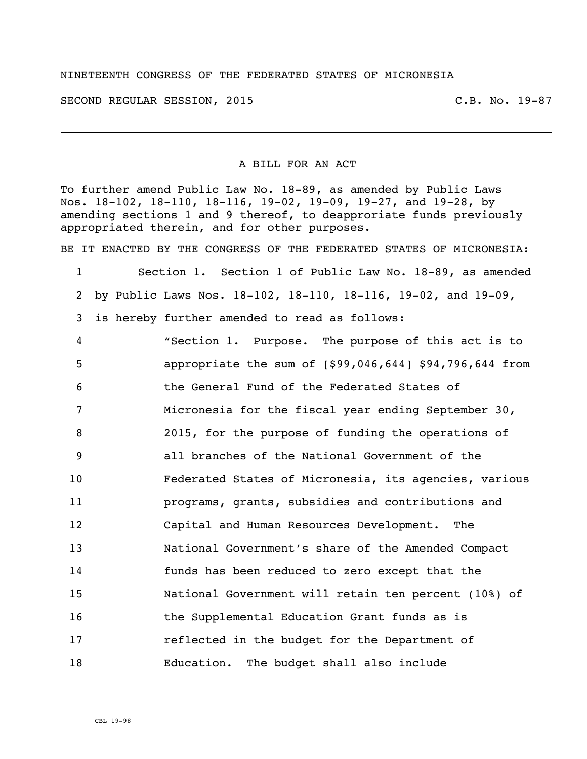## NINETEENTH CONGRESS OF THE FEDERATED STATES OF MICRONESIA

SECOND REGULAR SESSION, 2015 C.B. No. 19-87

A BILL FOR AN ACT

To further amend Public Law No. 18-89, as amended by Public Laws Nos. 18-102, 18-110, 18-116, 19-02, 19-09, 19-27, and 19-28, by amending sections 1 and 9 thereof, to deapproriate funds previously appropriated therein, and for other purposes.

BE IT ENACTED BY THE CONGRESS OF THE FEDERATED STATES OF MICRONESIA:

 Section 1. Section 1 of Public Law No. 18-89, as amended by Public Laws Nos. 18-102, 18-110, 18-116, 19-02, and 19-09, is hereby further amended to read as follows:

 "Section 1. Purpose. The purpose of this act is to 5 appropriate the sum of  $\lceil \frac{299}{646}, \frac{644}{644} \rceil$  \$94,796,644 from the General Fund of the Federated States of Micronesia for the fiscal year ending September 30, 2015, for the purpose of funding the operations of all branches of the National Government of the Federated States of Micronesia, its agencies, various programs, grants, subsidies and contributions and Capital and Human Resources Development. The National Government's share of the Amended Compact funds has been reduced to zero except that the National Government will retain ten percent (10%) of the Supplemental Education Grant funds as is reflected in the budget for the Department of Education. The budget shall also include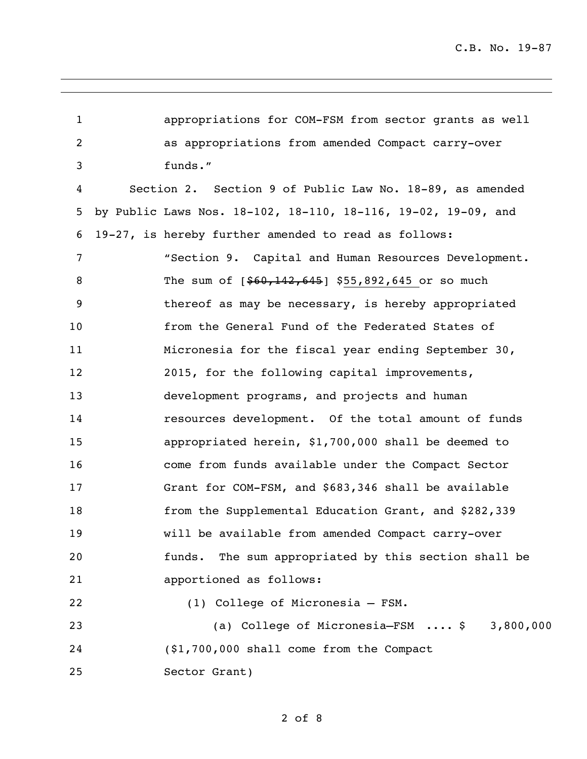C.B. No. 19-87

| $\mathbf{1}$   | appropriations for COM-FSM from sector grants as well         |
|----------------|---------------------------------------------------------------|
| $\overline{c}$ | as appropriations from amended Compact carry-over             |
| 3              | funds."                                                       |
| 4              | Section 2. Section 9 of Public Law No. 18-89, as amended      |
| 5              | by Public Laws Nos. 18-102, 18-110, 18-116, 19-02, 19-09, and |
| 6              | 19-27, is hereby further amended to read as follows:          |
| $\overline{7}$ | "Section 9. Capital and Human Resources Development.          |
| 8              | The sum of $[ $60, 142, 645] $55,892,645$ or so much          |
| 9              | thereof as may be necessary, is hereby appropriated           |
| 10             | from the General Fund of the Federated States of              |
| 11             | Micronesia for the fiscal year ending September 30,           |
| 12             | 2015, for the following capital improvements,                 |
| 13             | development programs, and projects and human                  |
| 14             | resources development. Of the total amount of funds           |
| 15             | appropriated herein, \$1,700,000 shall be deemed to           |
| 16             | come from funds available under the Compact Sector            |
| 17             | Grant for COM-FSM, and \$683,346 shall be available           |
| 18             | from the Supplemental Education Grant, and \$282,339          |
| 19             | will be available from amended Compact carry-over             |
| 20             | The sum appropriated by this section shall be<br>funds.       |
| 21             | apportioned as follows:                                       |
| 22             | (1) College of Micronesia - FSM.                              |
| 23             | (a) College of Micronesia-FSM $\ldots$ , \$ 3,800,000         |
| 24             | (\$1,700,000 shall come from the Compact                      |
| 25             | Sector Grant)                                                 |
|                |                                                               |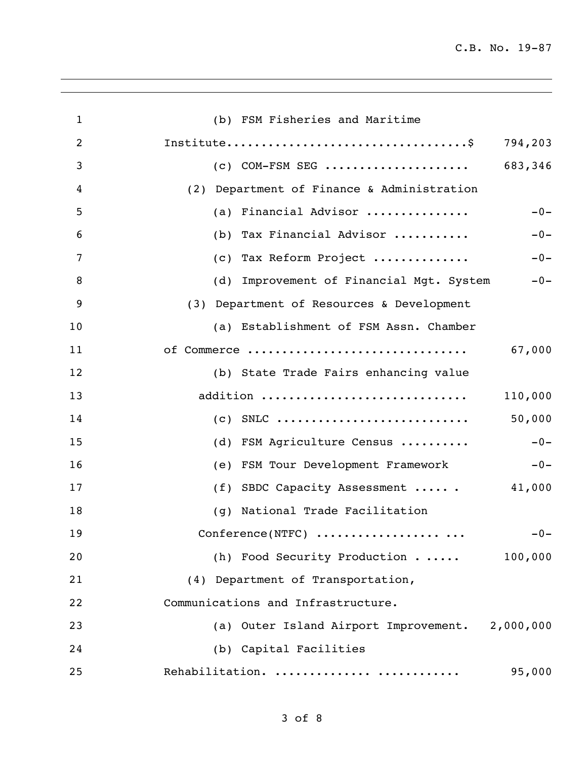C.B. No. 19-87

| $\mathbf 1$    | (b) FSM Fisheries and Maritime                       |
|----------------|------------------------------------------------------|
| $\overline{2}$ |                                                      |
| 3              | 683,346<br>$(c)$ COM-FSM SEG                         |
| 4              | (2) Department of Finance & Administration           |
| 5              | (a) Financial Advisor<br>$-0-$                       |
| 6              | Tax Financial Advisor<br>(b)<br>$-0-$                |
| 7              | (c) Tax Reform Project<br>$-0-$                      |
| 8              | (d)<br>Improvement of Financial Mgt. System<br>$-0-$ |
| 9              | (3) Department of Resources & Development            |
| 10             | (a) Establishment of FSM Assn. Chamber               |
| 11             | 67,000<br>of Commerce                                |
| 12             | (b) State Trade Fairs enhancing value                |
| 13             | addition<br>110,000                                  |
| 14             | 50,000                                               |
| 15             | (d) FSM Agriculture Census<br>$-0-$                  |
| 16             | (e) FSM Tour Development Framework<br>$-0-$          |
| 17             | SBDC Capacity Assessment  41,000<br>(f)              |
| 18             | National Trade Facilitation<br>(q)                   |
| 19             | $-0-$                                                |
| 20             | (h) Food Security Production<br>100,000              |
| 21             | (4) Department of Transportation,                    |
| 22             | Communications and Infrastructure.                   |
| 23             | (a) Outer Island Airport Improvement. 2,000,000      |
| 24             | (b) Capital Facilities                               |
| 25             | Rehabilitation.<br>95,000                            |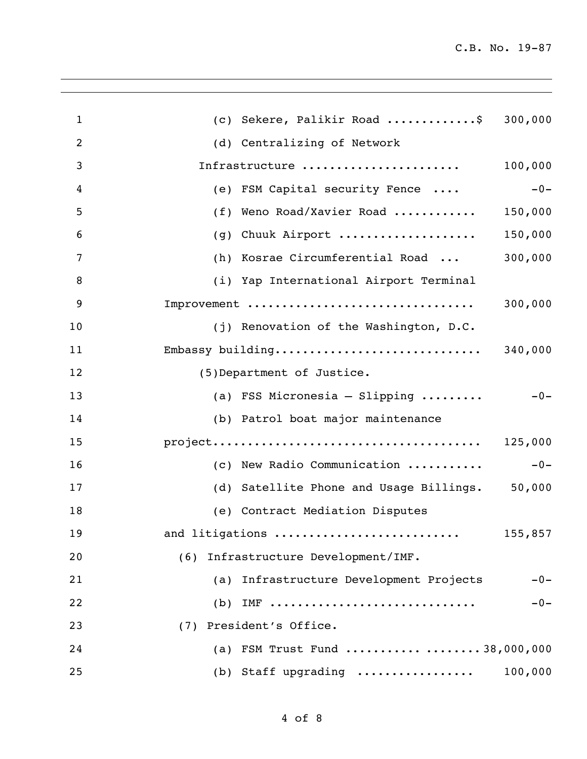| $\mathbf{1}$   | (c) Sekere, Palikir Road \$ 300,000               |
|----------------|---------------------------------------------------|
| $\overline{2}$ | (d) Centralizing of Network                       |
| 3              | Infrastructure<br>100,000                         |
| 4              | $-0-$<br>(e) FSM Capital security Fence           |
| 5              | (f) Weno Road/Xavier Road<br>150,000              |
| 6              | 150,000<br>Chuuk Airport<br>(g)                   |
| 7              | 300,000<br>(h) Kosrae Circumferential Road        |
| 8              | (i) Yap International Airport Terminal            |
| 9              | Improvement<br>300,000                            |
| 10             | (j) Renovation of the Washington, D.C.            |
| 11             | Embassy building 340,000                          |
| 12             | (5) Department of Justice.                        |
| 13             | (a) FSS Micronesia - Slipping $\ldots \ldots$ -0- |
| 14             | (b) Patrol boat major maintenance                 |
| 15             | 125,000                                           |
| 16             | $-0-$<br>(c) New Radio Communication              |
| 17             | (d) Satellite Phone and Usage Billings. 50,000    |
| 18             | (e) Contract Mediation Disputes                   |
| 19             | and litigations<br>155,857                        |
| 20             | (6) Infrastructure Development/IMF.               |
| 21             | (a) Infrastructure Development Projects<br>$-0-$  |
| 22             | (b) IMF<br>$-0-$                                  |
| 23             | (7) President's Office.                           |
| 24             | (a) FSM Trust Fund   38,000,000                   |
| 25             | 100,000<br>(b) Staff upgrading                    |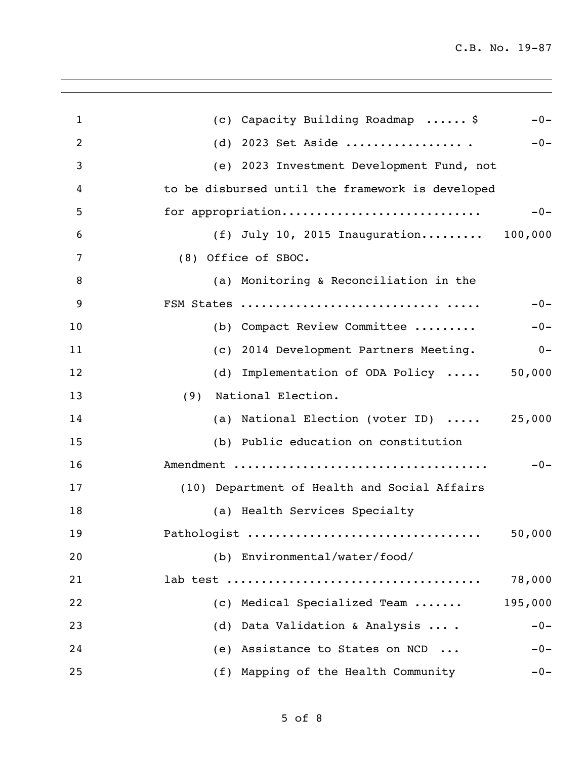| $\mathbf{1}$ | (c) Capacity Building Roadmap  \$                | $-0-$   |
|--------------|--------------------------------------------------|---------|
| 2            | (d) 2023 Set Aside                               | $-0-$   |
| 3            | (e) 2023 Investment Development Fund, not        |         |
| 4            | to be disbursed until the framework is developed |         |
| 5            | for appropriation                                | $-0-$   |
| 6            | (f) July 10, 2015 Inauguration 100,000           |         |
| 7            | (8) Office of SBOC.                              |         |
| 8            | (a) Monitoring & Reconciliation in the           |         |
| 9            |                                                  | $-0-$   |
| 10           | (b) Compact Review Committee                     | $-0-$   |
| 11           | (c) 2014 Development Partners Meeting.           | $0 -$   |
| 12           | (d) Implementation of ODA Policy                 | 50,000  |
| 13           | National Election.<br>(9)                        |         |
| 14           | (a) National Election (voter ID)  25,000         |         |
| 15           | (b) Public education on constitution             |         |
| 16           |                                                  | $-0-$   |
| 17           | (10) Department of Health and Social Affairs     |         |
| 18           | (a) Health Services Specialty                    |         |
| 19           | Pathologist                                      | 50,000  |
| 20           | (b) Environmental/water/food/                    |         |
| 21           |                                                  | 78,000  |
| 22           | (c) Medical Specialized Team                     | 195,000 |
| 23           | (d) Data Validation & Analysis                   | $-0-$   |
| 24           | (e) Assistance to States on NCD                  | $-0-$   |
| 25           | (f) Mapping of the Health Community              | $-0-$   |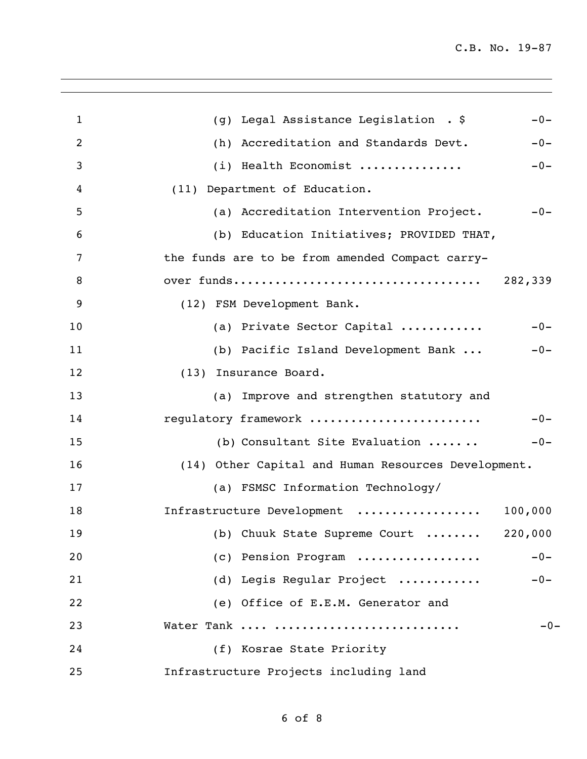| $\mathbf{1}$   | (g) Legal Assistance Legislation . \$<br>$-0-$      |
|----------------|-----------------------------------------------------|
| $\overline{2}$ | Accreditation and Standards Devt.<br>$-0-$<br>(h)   |
| 3              | (i) Health Economist<br>$-0-$                       |
| 4              | (11) Department of Education.                       |
| 5              | (a) Accreditation Intervention Project.<br>$-0-$    |
| 6              | (b) Education Initiatives; PROVIDED THAT,           |
| 7              | the funds are to be from amended Compact carry-     |
| 8              | 282,339                                             |
| 9              | (12) FSM Development Bank.                          |
| 10             | (a) Private Sector Capital<br>$-0-$                 |
| 11             | (b) Pacific Island Development Bank<br>$-0-$        |
| 12             | (13) Insurance Board.                               |
| 13             | (a) Improve and strengthen statutory and            |
| 14             | regulatory framework<br>$-0-$                       |
| 15             | (b) Consultant Site Evaluation<br>$-0-$             |
| 16             | (14) Other Capital and Human Resources Development. |
| 17             | (a) FSMSC Information Technology/                   |
| 18             | Infrastructure Development<br>100,000               |
| 19             | (b) Chuuk State Supreme Court<br>220,000            |
| 20             | (c) Pension Program<br>$-0-$                        |
| 21             | (d) Legis Regular Project<br>$-0-$                  |
| 22             | (e) Office of E.E.M. Generator and                  |
| 23             | Water Tank<br>$-0-$                                 |
| 24             | (f) Kosrae State Priority                           |
| 25             | Infrastructure Projects including land              |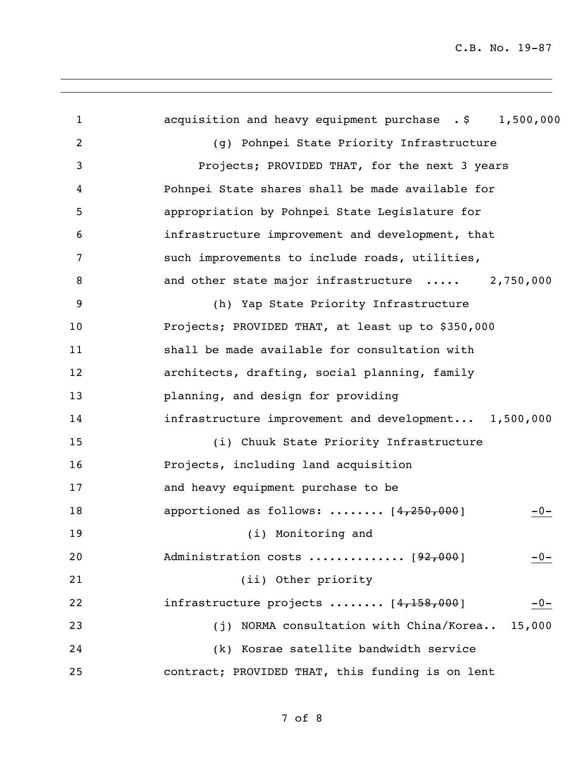1 acquisition and heavy equipment purchase . \$ 1,500,000 (g) Pohnpei State Priority Infrastructure Projects; PROVIDED THAT, for the next 3 years Pohnpei State shares shall be made available for appropriation by Pohnpei State Legislature for infrastructure improvement and development, that such improvements to include roads, utilities, 8 and other state major infrastructure ..... 2,750,000 (h) Yap State Priority Infrastructure Projects; PROVIDED THAT, at least up to \$350,000 shall be made available for consultation with architects, drafting, social planning, family planning, and design for providing infrastructure improvement and development... 1,500,000 (i) Chuuk State Priority Infrastructure Projects, including land acquisition and heavy equipment purchase to be 18 apportioned as follows: ........ [4,250,000] -0- (i) Monitoring and 20 Administration costs ............. [92,000] -0- (ii) Other priority 22 infrastructure projects ........ [4,158,000] -0- (j) NORMA consultation with China/Korea.. 15,000 (k) Kosrae satellite bandwidth service contract; PROVIDED THAT, this funding is on lent